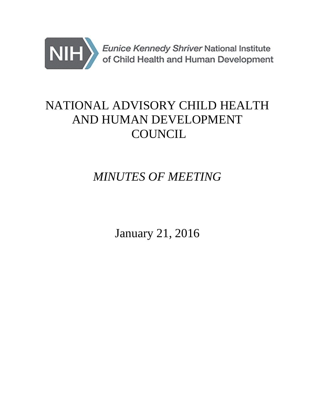

# NATIONAL ADVISORY CHILD HEALTH AND HUMAN DEVELOPMENT **COUNCIL**

# *MINUTES OF MEETING*

January 21, 2016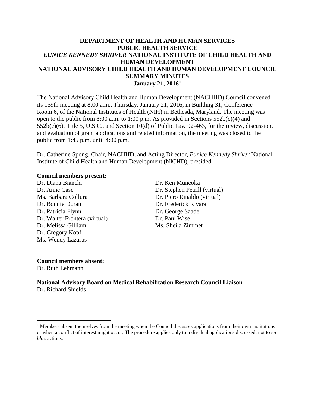#### **DEPARTMENT OF HEALTH AND HUMAN SERVICES PUBLIC HEALTH SERVICE** *EUNICE KENNEDY SHRIVER* **NATIONAL INSTITUTE OF CHILD HEALTH AND HUMAN DEVELOPMENT NATIONAL ADVISORY CHILD HEALTH AND HUMAN DEVELOPMENT COUNCIL SUMMARY MINUTES January 21, 20161**

The National Advisory Child Health and Human Development (NACHHD) Council convened its 159th meeting at 8:00 a.m., Thursday, January 21, 2016, in Building 31, Conference Room 6, of the National Institutes of Health (NIH) in Bethesda, Maryland. The meeting was open to the public from 8:00 a.m. to 1:00 p.m. As provided in Sections 552b(c)(4) and 552b(c)(6), Title 5, U.S.C., and Section 10(d) of Public Law 92-463, for the review, discussion, and evaluation of grant applications and related information, the meeting was closed to the public from 1:45 p.m. until 4:00 p.m.

Dr. Catherine Spong, Chair, NACHHD, and Acting Director, *Eunice Kennedy Shriver* National Institute of Child Health and Human Development (NICHD), presided.

#### **Council members present:**

Dr. Diana Bianchi Dr. Ken Muneoka Dr. Anne Case Dr. Stephen Petrill (virtual) Ms. Barbara Collura Dr. Piero Rinaldo (virtual) Dr. Bonnie Duran Dr. Frederick Rivara Dr. Patricia Flynn Dr. George Saade Dr. Walter Frontera (virtual) Dr. Paul Wise Dr. Melissa Gilliam Ms. Sheila Zimmet Dr. Gregory Kopf Ms. Wendy Lazarus

#### **Council members absent:**

Dr. Ruth Lehmann

 $\overline{a}$ 

**National Advisory Board on Medical Rehabilitation Research Council Liaison** Dr. Richard Shields

 $<sup>1</sup>$  Members absent themselves from the meeting when the Council discusses applications from their own institutions</sup> or when a conflict of interest might occur. The procedure applies only to individual applications discussed, not to *en bloc* actions.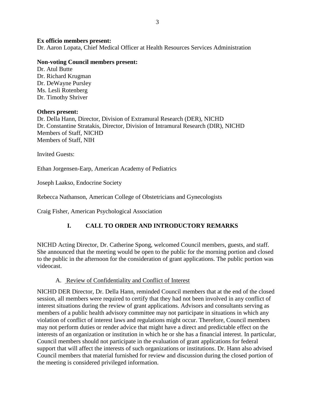#### **Ex officio members present:**

Dr. Aaron Lopata, Chief Medical Officer at Health Resources Services Administration

#### **Non-voting Council members present:**

Dr. Atul Butte Dr. Richard Krugman Dr. DeWayne Pursley Ms. Lesli Rotenberg Dr. Timothy Shriver

#### **Others present:**

Dr. Della Hann, Director, Division of Extramural Research (DER), NICHD Dr. Constantine Stratakis, Director, Division of Intramural Research (DIR), NICHD Members of Staff, NICHD Members of Staff, NIH

Invited Guests:

Ethan Jorgensen-Earp, American Academy of Pediatrics

Joseph Laakso, Endocrine Society

Rebecca Nathanson, American College of Obstetricians and Gynecologists

Craig Fisher, American Psychological Association

## **I. CALL TO ORDER AND INTRODUCTORY REMARKS**

NICHD Acting Director, Dr. Catherine Spong, welcomed Council members, guests, and staff. She announced that the meeting would be open to the public for the morning portion and closed to the public in the afternoon for the consideration of grant applications. The public portion was videocast.

#### A. Review of Confidentiality and Conflict of Interest

NICHD DER Director, Dr. Della Hann, reminded Council members that at the end of the closed session, all members were required to certify that they had not been involved in any conflict of interest situations during the review of grant applications. Advisors and consultants serving as members of a public health advisory committee may not participate in situations in which any violation of conflict of interest laws and regulations might occur. Therefore, Council members may not perform duties or render advice that might have a direct and predictable effect on the interests of an organization or institution in which he or she has a financial interest. In particular, Council members should not participate in the evaluation of grant applications for federal support that will affect the interests of such organizations or institutions. Dr. Hann also advised Council members that material furnished for review and discussion during the closed portion of the meeting is considered privileged information.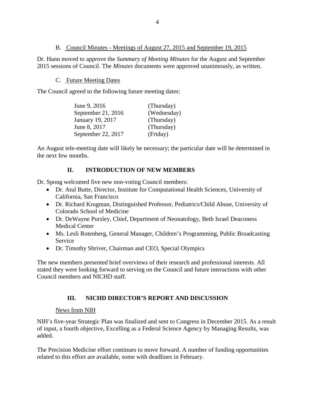#### B. Council Minutes - Meetings of August 27, 2015 and September 19, 2015

Dr. Hann moved to approve the *Summary of Meeting Minutes* for the August and September 2015 sessions of Council. The *Minutes* documents were approved unanimously, as written.

#### C. Future Meeting Dates

The Council agreed to the following future meeting dates:

| June 9, 2016       | (Thursday)  |
|--------------------|-------------|
| September 21, 2016 | (Wednesday) |
| January 19, 2017   | (Thursday)  |
| June 8, 2017       | (Thursday)  |
| September 22, 2017 | (Friday)    |

An August tele-meeting date will likely be necessary; the particular date will be determined in the next few months.

## **II. INTRODUCTION OF NEW MEMBERS**

Dr. Spong welcomed five new non-voting Council members:

- Dr. Atul Butte, Director, Institute for Computational Health Sciences, University of California, San Francisco
- Dr. Richard Krugman, Distinguished Professor, Pediatrics/Child Abuse, University of Colorado School of Medicine
- Dr. DeWayne Pursley, Chief, Department of Neonatology, Beth Israel Deaconess Medical Center
- Ms. Lesli Rotenberg, General Manager, Children's Programming, Public Broadcasting Service
- Dr. Timothy Shriver, Chairman and CEO, Special Olympics

The new members presented brief overviews of their research and professional interests. All stated they were looking forward to serving on the Council and future interactions with other Council members and NICHD staff.

# **III. NICHD DIRECTOR'S REPORT AND DISCUSSION**

## News from NIH

NIH's five-year Strategic Plan was finalized and sent to Congress in December 2015. As a result of input, a fourth objective, Excelling as a Federal Science Agency by Managing Results, was added.

The Precision Medicine effort continues to move forward. A number of funding opportunities related to this effort are available, some with deadlines in February.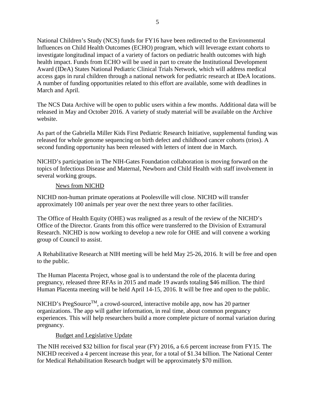National Children's Study (NCS) funds for FY16 have been redirected to the Environmental Influences on Child Health Outcomes (ECHO) program, which will leverage extant cohorts to investigate longitudinal impact of a variety of factors on pediatric health outcomes with high health impact. Funds from ECHO will be used in part to create the Institutional Development Award (IDeA) States National Pediatric Clinical Trials Network, which will address medical access gaps in rural children through a national network for pediatric research at IDeA locations. A number of funding opportunities related to this effort are available, some with deadlines in March and April.

The NCS Data Archive will be open to public users within a few months. Additional data will be released in May and October 2016. A variety of study material will be available on the Archive website.

As part of the Gabriella Miller Kids First Pediatric Research Initiative, supplemental funding was released for whole genome sequencing on birth defect and childhood cancer cohorts (trios). A second funding opportunity has been released with letters of intent due in March.

NICHD's participation in The NIH-Gates Foundation collaboration is moving forward on the topics of Infectious Disease and Maternal, Newborn and Child Health with staff involvement in several working groups.

#### News from NICHD

NICHD non-human primate operations at Poolesville will close. NICHD will transfer approximately 100 animals per year over the next three years to other facilities.

The Office of Health Equity (OHE) was realigned as a result of the review of the NICHD's Office of the Director. Grants from this office were transferred to the Division of Extramural Research. NICHD is now working to develop a new role for OHE and will convene a working group of Council to assist.

A Rehabilitative Research at NIH meeting will be held May 25-26, 2016. It will be free and open to the public.

The Human Placenta Project, whose goal is to understand the role of the placenta during pregnancy, released three RFAs in 2015 and made 19 awards totaling \$46 million. The third Human Placenta meeting will be held April 14-15, 2016. It will be free and open to the public.

 $NICHD$ 's PregSource<sup>TM</sup>, a crowd-sourced, interactive mobile app, now has 20 partner organizations. The app will gather information, in real time, about common pregnancy experiences. This will help researchers build a more complete picture of normal variation during pregnancy.

## Budget and Legislative Update

The NIH received \$32 billion for fiscal year (FY) 2016, a 6.6 percent increase from FY15. The NICHD received a 4 percent increase this year, for a total of \$1.34 billion. The National Center for Medical Rehabilitation Research budget will be approximately \$70 million.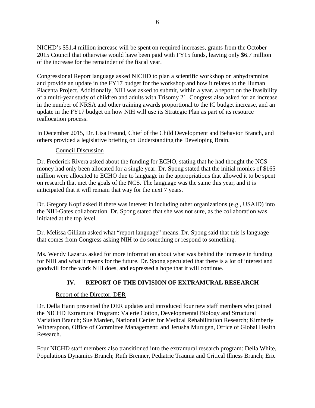NICHD's \$51.4 million increase will be spent on required increases, grants from the October 2015 Council that otherwise would have been paid with FY15 funds, leaving only \$6.7 million of the increase for the remainder of the fiscal year.

Congressional Report language asked NICHD to plan a scientific workshop on anhydramnios and provide an update in the FY17 budget for the workshop and how it relates to the Human Placenta Project. Additionally, NIH was asked to submit, within a year, a report on the feasibility of a multi-year study of children and adults with Trisomy 21. Congress also asked for an increase in the number of NRSA and other training awards proportional to the IC budget increase, and an update in the FY17 budget on how NIH will use its Strategic Plan as part of its resource reallocation process.

In December 2015, Dr. Lisa Freund, Chief of the Child Development and Behavior Branch, and others provided a legislative briefing on Understanding the Developing Brain.

#### Council Discussion

Dr. Frederick Rivera asked about the funding for ECHO, stating that he had thought the NCS money had only been allocated for a single year. Dr. Spong stated that the initial monies of \$165 million were allocated to ECHO due to language in the appropriations that allowed it to be spent on research that met the goals of the NCS. The language was the same this year, and it is anticipated that it will remain that way for the next 7 years.

Dr. Gregory Kopf asked if there was interest in including other organizations (e.g., USAID) into the NIH-Gates collaboration. Dr. Spong stated that she was not sure, as the collaboration was initiated at the top level.

Dr. Melissa Gilliam asked what "report language" means. Dr. Spong said that this is language that comes from Congress asking NIH to do something or respond to something.

Ms. Wendy Lazarus asked for more information about what was behind the increase in funding for NIH and what it means for the future. Dr. Spong speculated that there is a lot of interest and goodwill for the work NIH does, and expressed a hope that it will continue.

## **IV. REPORT OF THE DIVISION OF EXTRAMURAL RESEARCH**

#### Report of the Director, DER

Dr. Della Hann presented the DER updates and introduced four new staff members who joined the NICHD Extramural Program: Valerie Cotton, Developmental Biology and Structural Variation Branch; Sue Marden, National Center for Medical Rehabilitation Research; Kimberly Witherspoon, Office of Committee Management; and Jerusha Murugen, Office of Global Health Research.

Four NICHD staff members also transitioned into the extramural research program: Della White, Populations Dynamics Branch; Ruth Brenner, Pediatric Trauma and Critical Illness Branch; Eric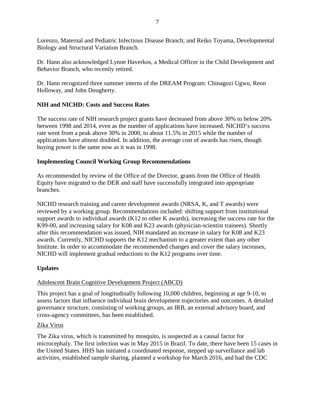Lorenzo, Maternal and Pediatric Infectious Disease Branch; and Reiko Toyama, Developmental Biology and Structural Variation Branch.

Dr. Hann also acknowledged Lynne Haverkos, a Medical Officer in the Child Development and Behavior Branch, who recently retired.

Dr. Hann recognized three summer interns of the DREAM Program: Chinagozi Ugwu, Reon Holloway, and John Dougherty.

## **NIH and NICHD: Costs and Success Rates**

The success rate of NIH research project grants have decreased from above 30% to below 20% between 1998 and 2014, even as the number of applications have increased. NICHD's success rate went from a peak above 30% in 2000, to about 11.5% in 2015 while the number of applications have almost doubled. In addition, the average cost of awards has risen, though buying power is the same now as it was in 1998.

## **Implementing Council Working Group Recommendations**

As recommended by review of the Office of the Director, grants from the Office of Health Equity have migrated to the DER and staff have successfully integrated into appropriate branches.

NICHD research training and career development awards (NRSA, K, and T awards) were reviewed by a working group. Recommendations included: shifting support from institutional support awards to individual awards (K12 to other K awards), increasing the success rate for the K99-00, and increasing salary for K08 and K23 awards (physician-scientist trainees). Shortly after this recommendation was issued, NIH mandated an increase in salary for K08 and K23 awards. Currently, NICHD supports the K12 mechanism to a greater extent than any other Institute. In order to accommodate the recommended changes and cover the salary increases, NICHD will implement gradual reductions to the K12 programs over time.

## **Updates**

## Adolescent Brain Cognitive Development Project (ABCD)

This project has a goal of longitudinally following 10,000 children, beginning at age 9-10, to assess factors that influence individual brain development trajectories and outcomes. A detailed governance structure, consisting of working groups, an IRB, an external advisory board, and cross-agency committees, has been established.

## Zika Virus

The Zika virus, which is transmitted by mosquito, is suspected as a causal factor for microcephaly. The first infection was in May 2015 in Brazil. To date, there have been 15 cases in the United States. HHS has initiated a coordinated response, stepped up surveillance and lab activities, established sample sharing, planned a workshop for March 2016, and had the CDC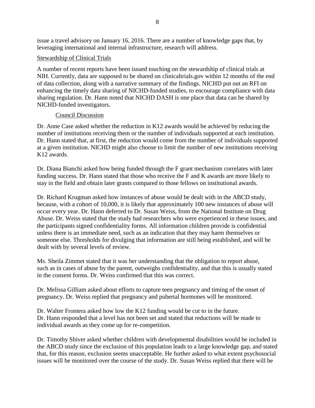issue a travel advisory on January 16, 2016. There are a number of knowledge gaps that, by leveraging international and internal infrastructure, research will address.

#### Stewardship of Clinical Trials

A number of recent reports have been issued touching on the stewardship of clinical trials at NIH. Currently, data are supposed to be shared on clinicaltrials.gov within 12 months of the end of data collection, along with a narrative summary of the findings. NICHD put out an RFI on enhancing the timely data sharing of NICHD-funded studies, to encourage compliance with data sharing regulation. Dr. Hann noted that NICHD DASH is one place that data can be shared by NICHD-funded investigators.

#### Council Discussion

Dr. Anne Case asked whether the reduction in K12 awards would be achieved by reducing the number of institutions receiving them or the number of individuals supported at each institution. Dr. Hann stated that, at first, the reduction would come from the number of individuals supported at a given institution. NICHD might also choose to limit the number of new institutions receiving K12 awards.

Dr. Diana Bianchi asked how being funded through the F grant mechanism correlates with later funding success. Dr. Hann stated that those who receive the F and K awards are more likely to stay in the field and obtain later grants compared to those fellows on institutional awards.

Dr. Richard Krugman asked how instances of abuse would be dealt with in the ABCD study, because, with a cohort of 10,000, it is likely that approximately 100 new instances of abuse will occur every year. Dr. Hann deferred to Dr. Susan Weiss, from the National Institute on Drug Abuse. Dr. Weiss stated that the study had researchers who were experienced in these issues, and the participants signed confidentiality forms. All information children provide is confidential unless there is an immediate need, such as an indication that they may harm themselves or someone else. Thresholds for divulging that information are still being established, and will be dealt with by several levels of review.

Ms. Sheila Zimmet stated that it was her understanding that the obligation to report abuse, such as in cases of abuse by the parent, outweighs confidentiality, and that this is usually stated in the consent forms. Dr. Weiss confirmed that this was correct.

Dr. Melissa Gilliam asked about efforts to capture teen pregnancy and timing of the onset of pregnancy. Dr. Weiss replied that pregnancy and pubertal hormones will be monitored.

Dr. Walter Frontera asked how low the K12 funding would be cut to in the future. Dr. Hann responded that a level has not been set and stated that reductions will be made to individual awards as they come up for re-competition.

Dr. Timothy Shiver asked whether children with developmental disabilities would be included in the ABCD study since the exclusion of this population leads to a large knowledge gap, and stated that, for this reason, exclusion seems unacceptable. He further asked to what extent psychosocial issues will be monitored over the course of the study. Dr. Susan Weiss replied that there will be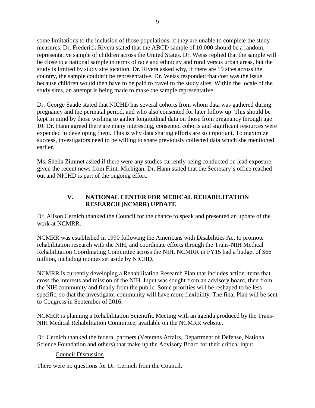some limitations to the inclusion of those populations, if they are unable to complete the study measures. Dr. Frederick Rivera stated that the ABCD sample of 10,000 should be a random, representative sample of children across the United States. Dr. Weiss replied that the sample will be close to a national sample in terms of race and ethnicity and rural versus urban areas, but the study is limited by study site location. Dr. Rivera asked why, if there are 19 sites across the country, the sample couldn't be representative. Dr. Weiss responded that cost was the issue because children would then have to be paid to travel to the study sites. Within the locale of the study sites, an attempt is being made to make the sample representative.

Dr. George Saade stated that NICHD has several cohorts from whom data was gathered during pregnancy and the perinatal period, and who also consented for later follow up. This should be kept in mind by those wishing to gather longitudinal data on those from pregnancy through age 10. Dr. Hann agreed there are many interesting, consented cohorts and significant resources were expended in developing them. This is why data sharing efforts are so important. To maximize success, investigators need to be willing to share previously collected data which she mentioned earlier.

Ms. Sheila Zimmet asked if there were any studies currently being conducted on lead exposure, given the recent news from Flint, Michigan. Dr. Hann stated that the Secretary's office reached out and NICHD is part of the ongoing effort.

## **V. NATIONAL CENTER FOR MEDICAL REHABILITATION RESEARCH (NCMRR) UPDATE**

Dr. Alison Cernich thanked the Council for the chance to speak and presented an update of the work at NCMRR.

NCMRR was established in 1990 following the Americans with Disabilities Act to promote rehabilitation research with the NIH, and coordinate efforts through the Trans-NIH Medical Rehabilitation Coordinating Committee across the NIH. NCMRR in FY15 had a budget of \$66 million, including monies set aside by NICHD.

NCMRR is currently developing a Rehabilitation Research Plan that includes action items that cross the interests and mission of the NIH. Input was sought from an advisory board, then from the NIH community and finally from the public. Some priorities will be reshaped to be less specific, so that the investigator community will have more flexibility. The final Plan will be sent to Congress in September of 2016.

NCMRR is planning a Rehabilitation Scientific Meeting with an agenda produced by the Trans-NIH Medical Rehabilitation Committee, available on the NCMRR website.

Dr. Cernich thanked the federal partners (Veterans Affairs, Department of Defense, National Science Foundation and others) that make up the Advisory Board for their critical input.

## Council Discussion

There were no questions for Dr. Cernich from the Council.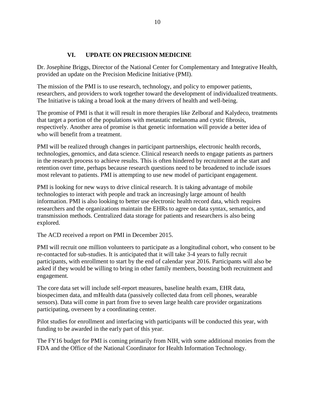#### **VI. UPDATE ON PRECISION MEDICINE**

Dr. Josephine Briggs, Director of the National Center for Complementary and Integrative Health, provided an update on the Precision Medicine Initiative (PMI).

The mission of the PMI is to use research, technology, and policy to empower patients, researchers, and providers to work together toward the development of individualized treatments. The Initiative is taking a broad look at the many drivers of health and well-being.

The promise of PMI is that it will result in more therapies like Zelboraf and Kalydeco, treatments that target a portion of the populations with metastatic melanoma and cystic fibrosis, respectively. Another area of promise is that genetic information will provide a better idea of who will benefit from a treatment.

PMI will be realized through changes in participant partnerships, electronic health records, technologies, genomics, and data science. Clinical research needs to engage patients as partners in the research process to achieve results. This is often hindered by recruitment at the start and retention over time, perhaps because research questions need to be broadened to include issues most relevant to patients. PMI is attempting to use new model of participant engagement.

PMI is looking for new ways to drive clinical research. It is taking advantage of mobile technologies to interact with people and track an increasingly large amount of health information. PMI is also looking to better use electronic health record data, which requires researchers and the organizations maintain the EHRs to agree on data syntax, semantics, and transmission methods. Centralized data storage for patients and researchers is also being explored.

The ACD received a report on PMI in December 2015.

PMI will recruit one million volunteers to participate as a longitudinal cohort, who consent to be re-contacted for sub-studies. It is anticipated that it will take 3-4 years to fully recruit participants, with enrollment to start by the end of calendar year 2016. Participants will also be asked if they would be willing to bring in other family members, boosting both recruitment and engagement.

The core data set will include self-report measures, baseline health exam, EHR data, biospecimen data, and mHealth data (passively collected data from cell phones, wearable sensors). Data will come in part from five to seven large health care provider organizations participating, overseen by a coordinating center.

Pilot studies for enrollment and interfacing with participants will be conducted this year, with funding to be awarded in the early part of this year.

The FY16 budget for PMI is coming primarily from NIH, with some additional monies from the FDA and the Office of the National Coordinator for Health Information Technology.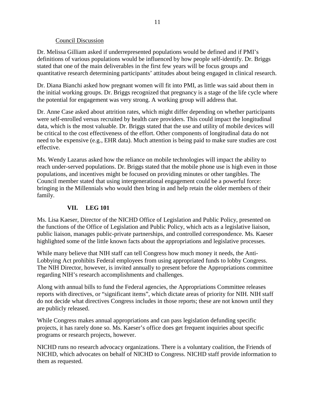#### Council Discussion

Dr. Melissa Gilliam asked if underrepresented populations would be defined and if PMI's definitions of various populations would be influenced by how people self-identify. Dr. Briggs stated that one of the main deliverables in the first few years will be focus groups and quantitative research determining participants' attitudes about being engaged in clinical research.

Dr. Diana Bianchi asked how pregnant women will fit into PMI, as little was said about them in the initial working groups. Dr. Briggs recognized that pregnancy is a stage of the life cycle where the potential for engagement was very strong. A working group will address that.

Dr. Anne Case asked about attrition rates, which might differ depending on whether participants were self-enrolled versus recruited by health care providers. This could impact the longitudinal data, which is the most valuable. Dr. Briggs stated that the use and utility of mobile devices will be critical to the cost effectiveness of the effort. Other components of longitudinal data do not need to be expensive (e.g., EHR data). Much attention is being paid to make sure studies are cost effective.

Ms. Wendy Lazarus asked how the reliance on mobile technologies will impact the ability to reach under-served populations. Dr. Briggs stated that the mobile phone use is high even in those populations, and incentives might be focused on providing minutes or other tangibles. The Council member stated that using intergenerational engagement could be a powerful force: bringing in the Millennials who would then bring in and help retain the older members of their family.

## **VII. LEG 101**

Ms. Lisa Kaeser, Director of the NICHD Office of Legislation and Public Policy, presented on the functions of the Office of Legislation and Public Policy, which acts as a legislative liaison, public liaison, manages public-private partnerships, and controlled correspondence. Ms. Kaeser highlighted some of the little known facts about the appropriations and legislative processes.

While many believe that NIH staff can tell Congress how much money it needs, the Anti-Lobbying Act prohibits Federal employees from using appropriated funds to lobby Congress. The NIH Director, however, is invited annually to present before the Appropriations committee regarding NIH's research accomplishments and challenges.

Along with annual bills to fund the Federal agencies, the Appropriations Committee releases reports with directives, or "significant items", which dictate areas of priority for NIH. NIH staff do not decide what directives Congress includes in those reports; these are not known until they are publicly released.

While Congress makes annual appropriations and can pass legislation defunding specific projects, it has rarely done so. Ms. Kaeser's office does get frequent inquiries about specific programs or research projects, however.

NICHD runs no research advocacy organizations. There is a voluntary coalition, the Friends of NICHD, which advocates on behalf of NICHD to Congress. NICHD staff provide information to them as requested.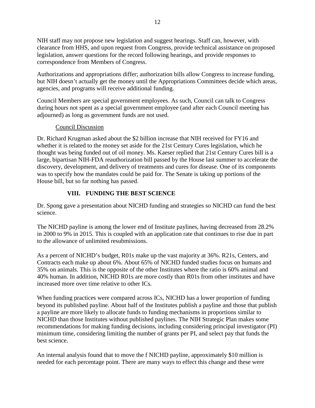NIH staff may not propose new legislation and suggest hearings. Staff can, however, with clearance from HHS, and upon request from Congress, provide technical assistance on proposed legislation, answer questions for the record following hearings, and provide responses to correspondence from Members of Congress.

Authorizations and appropriations differ; authorization bills allow Congress to increase funding, but NIH doesn't actually get the money until the Appropriations Committees decide which areas, agencies, and programs will receive additional funding.

Council Members are special government employees. As such, Council can talk to Congress during hours not spent as a special government employee (and after each Council meeting has adjourned) as long as government funds are not used.

## Council Discussion

Dr. Richard Krugman asked about the \$2 billion increase that NIH received for FY16 and whether it is related to the money set aside for the 21st Century Cures legislation, which he thought was being funded out of oil money. Ms. Kaeser replied that 21st Century Cures bill is a large, bipartisan NIH-FDA reauthorization bill passed by the House last summer to accelerate the discovery, development, and delivery of treatments and cures for disease. One of its components was to specify how the mandates could be paid for. The Senate is taking up portions of the House bill, but so far nothing has passed.

## **VIII. FUNDING THE BEST SCIENCE**

Dr. Spong gave a presentation about NICHD funding and strategies so NICHD can fund the best science.

The NICHD payline is among the lower end of Institute paylines, having decreased from 28.2% in 2000 to 9% in 2015. This is coupled with an application rate that continues to rise due in part to the allowance of unlimited resubmissions.

As a percent of NICHD's budget, R01s make up the vast majority at 36%. R21s, Centers, and Contracts each make up about 6%. About 65% of NICHD funded studies focus on humans and 35% on animals. This is the opposite of the other Institutes where the ratio is 60% animal and 40% human. In addition, NICHD R01s are more costly than R01s from other institutes and have increased more over time relative to other ICs.

When funding practices were compared across ICs, NICHD has a lower proportion of funding beyond its published payline. About half of the Institutes publish a payline and those that publish a payline are more likely to allocate funds to funding mechanisms in proportions similar to NICHD than those Institutes without published paylines. The NIH Strategic Plan makes some recommendations for making funding decisions, including considering principal investigator (PI) minimum time, considering limiting the number of grants per PI, and select pay that funds the best science.

An internal analysis found that to move the f NICHD payline, approximately \$10 million is needed for each percentage point. There are many ways to effect this change and these were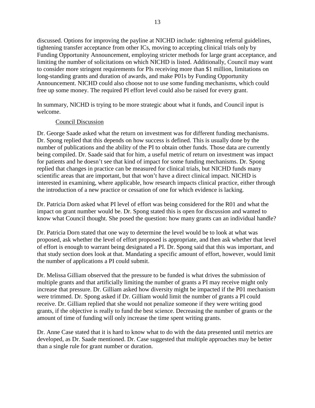discussed. Options for improving the payline at NICHD include: tightening referral guidelines, tightening transfer acceptance from other ICs, moving to accepting clinical trials only by Funding Opportunity Announcement, employing stricter methods for large grant acceptance, and limiting the number of solicitations on which NICHD is listed. Additionally, Council may want to consider more stringent requirements for PIs receiving more than \$1 million, limitations on long-standing grants and duration of awards, and make P01s by Funding Opportunity Announcement. NICHD could also choose not to use some funding mechanisms, which could free up some money. The required PI effort level could also be raised for every grant.

In summary, NICHD is trying to be more strategic about what it funds, and Council input is welcome.

#### Council Discussion

Dr. George Saade asked what the return on investment was for different funding mechanisms. Dr. Spong replied that this depends on how success is defined. This is usually done by the number of publications and the ability of the PI to obtain other funds. Those data are currently being compiled. Dr. Saade said that for him, a useful metric of return on investment was impact for patients and he doesn't see that kind of impact for some funding mechanisms. Dr. Spong replied that changes in practice can be measured for clinical trials, but NICHD funds many scientific areas that are important, but that won't have a direct clinical impact. NICHD is interested in examining, where applicable, how research impacts clinical practice, either through the introduction of a new practice or cessation of one for which evidence is lacking.

Dr. Patricia Dorn asked what PI level of effort was being considered for the R01 and what the impact on grant number would be. Dr. Spong stated this is open for discussion and wanted to know what Council thought. She posed the question: how many grants can an individual handle?

Dr. Patricia Dorn stated that one way to determine the level would be to look at what was proposed, ask whether the level of effort proposed is appropriate, and then ask whether that level of effort is enough to warrant being designated a PI. Dr. Spong said that this was important, and that study section does look at that. Mandating a specific amount of effort, however, would limit the number of applications a PI could submit.

Dr. Melissa Gilliam observed that the pressure to be funded is what drives the submission of multiple grants and that artificially limiting the number of grants a PI may receive might only increase that pressure. Dr. Gilliam asked how diversity might be impacted if the P01 mechanism were trimmed. Dr. Spong asked if Dr. Gilliam would limit the number of grants a PI could receive. Dr. Gilliam replied that she would not penalize someone if they were writing good grants, if the objective is really to fund the best science. Decreasing the number of grants or the amount of time of funding will only increase the time spent writing grants.

Dr. Anne Case stated that it is hard to know what to do with the data presented until metrics are developed, as Dr. Saade mentioned. Dr. Case suggested that multiple approaches may be better than a single rule for grant number or duration.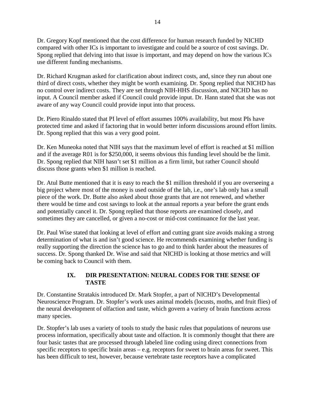Dr. Gregory Kopf mentioned that the cost difference for human research funded by NICHD compared with other ICs is important to investigate and could be a source of cost savings. Dr. Spong replied that delving into that issue is important, and may depend on how the various ICs use different funding mechanisms.

Dr. Richard Krugman asked for clarification about indirect costs, and, since they run about one third of direct costs, whether they might be worth examining. Dr. Spong replied that NICHD has no control over indirect costs. They are set through NIH-HHS discussion, and NICHD has no input. A Council member asked if Council could provide input. Dr. Hann stated that she was not aware of any way Council could provide input into that process.

Dr. Piero Rinaldo stated that PI level of effort assumes 100% availability, but most PIs have protected time and asked if factoring that in would better inform discussions around effort limits. Dr. Spong replied that this was a very good point.

Dr. Ken Muneoka noted that NIH says that the maximum level of effort is reached at \$1 million and if the average R01 is for \$250,000, it seems obvious this funding level should be the limit. Dr. Spong replied that NIH hasn't set \$1 million as a firm limit, but rather Council should discuss those grants when \$1 million is reached.

Dr. Atul Butte mentioned that it is easy to reach the \$1 million threshold if you are overseeing a big project where most of the money is used outside of the lab, i.e., one's lab only has a small piece of the work. Dr. Butte also asked about those grants that are not renewed, and whether there would be time and cost savings to look at the annual reports a year before the grant ends and potentially cancel it. Dr. Spong replied that those reports are examined closely, and sometimes they are cancelled, or given a no-cost or mid-cost continuance for the last year.

Dr. Paul Wise stated that looking at level of effort and cutting grant size avoids making a strong determination of what is and isn't good science. He recommends examining whether funding is really supporting the direction the science has to go and to think harder about the measures of success. Dr. Spong thanked Dr. Wise and said that NICHD is looking at those metrics and will be coming back to Council with them.

## **IX. DIR PRESENTATION: NEURAL CODES FOR THE SENSE OF TASTE**

Dr. Constantine Stratakis introduced Dr. Mark Stopfer, a part of NICHD's Developmental Neuroscience Program. Dr. Stopfer's work uses animal models (locusts, moths, and fruit flies) of the neural development of olfaction and taste, which govern a variety of brain functions across many species.

Dr. Stopfer's lab uses a variety of tools to study the basic rules that populations of neurons use process information, specifically about taste and olfaction. It is commonly thought that there are four basic tastes that are processed through labeled line coding using direct connections from specific receptors to specific brain areas – e.g. receptors for sweet to brain areas for sweet. This has been difficult to test, however, because vertebrate taste receptors have a complicated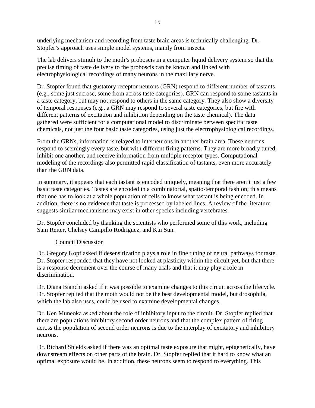underlying mechanism and recording from taste brain areas is technically challenging. Dr. Stopfer's approach uses simple model systems, mainly from insects.

The lab delivers stimuli to the moth's proboscis in a computer liquid delivery system so that the precise timing of taste delivery to the proboscis can be known and linked with electrophysiological recordings of many neurons in the maxillary nerve.

Dr. Stopfer found that gustatory receptor neurons (GRN) respond to different number of tastants (e.g., some just sucrose, some from across taste categories). GRN can respond to some tastants in a taste category, but may not respond to others in the same category. They also show a diversity of temporal responses (e.g., a GRN may respond to several taste categories, but fire with different patterns of excitation and inhibition depending on the taste chemical). The data gathered were sufficient for a computational model to discriminate between specific taste chemicals, not just the four basic taste categories, using just the electrophysiological recordings.

From the GRNs, information is relayed to interneurons in another brain area. These neurons respond to seemingly every taste, but with different firing patterns. They are more broadly tuned, inhibit one another, and receive information from multiple receptor types. Computational modeling of the recordings also permitted rapid classification of tastants, even more accurately than the GRN data.

In summary, it appears that each tastant is encoded uniquely, meaning that there aren't just a few basic taste categories. Tastes are encoded in a combinatorial, spatio-temporal fashion; this means that one has to look at a whole population of cells to know what tastant is being encoded. In addition, there is no evidence that taste is processed by labeled lines. A review of the literature suggests similar mechanisms may exist in other species including vertebrates.

Dr. Stopfer concluded by thanking the scientists who performed some of this work, including Sam Reiter, Chelsey Campillo Rodriguez, and Kui Sun.

## Council Discussion

Dr. Gregory Kopf asked if desensitization plays a role in fine tuning of neural pathways for taste. Dr. Stopfer responded that they have not looked at plasticity within the circuit yet, but that there is a response decrement over the course of many trials and that it may play a role in discrimination.

Dr. Diana Bianchi asked if it was possible to examine changes to this circuit across the lifecycle. Dr. Stopfer replied that the moth would not be the best developmental model, but drosophila, which the lab also uses, could be used to examine developmental changes.

Dr. Ken Muneoka asked about the role of inhibitory input to the circuit. Dr. Stopfer replied that there are populations inhibitory second order neurons and that the complex pattern of firing across the population of second order neurons is due to the interplay of excitatory and inhibitory neurons.

Dr. Richard Shields asked if there was an optimal taste exposure that might, epigenetically, have downstream effects on other parts of the brain. Dr. Stopfer replied that it hard to know what an optimal exposure would be. In addition, these neurons seem to respond to everything. This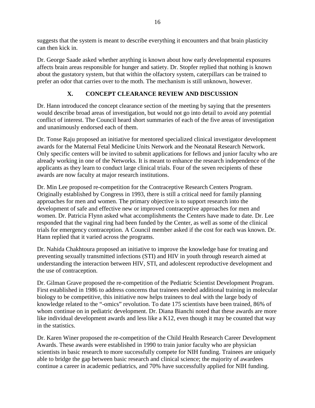suggests that the system is meant to describe everything it encounters and that brain plasticity can then kick in.

Dr. George Saade asked whether anything is known about how early developmental exposures affects brain areas responsible for hunger and satiety. Dr. Stopfer replied that nothing is known about the gustatory system, but that within the olfactory system, caterpillars can be trained to prefer an odor that carries over to the moth. The mechanism is still unknown, however.

# **X. CONCEPT CLEARANCE REVIEW AND DISCUSSION**

Dr. Hann introduced the concept clearance section of the meeting by saying that the presenters would describe broad areas of investigation, but would not go into detail to avoid any potential conflict of interest. The Council heard short summaries of each of the five areas of investigation and unanimously endorsed each of them.

Dr. Tonse Raju proposed an initiative for mentored specialized clinical investigator development awards for the Maternal Fetal Medicine Units Network and the Neonatal Research Network. Only specific centers will be invited to submit applications for fellows and junior faculty who are already working in one of the Networks. It is meant to enhance the research independence of the applicants as they learn to conduct large clinical trials. Four of the seven recipients of these awards are now faculty at major research institutions.

Dr. Min Lee proposed re-competition for the Contraceptive Research Centers Program. Originally established by Congress in 1993, there is still a critical need for family planning approaches for men and women. The primary objective is to support research into the development of safe and effective new or improved contraceptive approaches for men and women. Dr. Patricia Flynn asked what accomplishments the Centers have made to date. Dr. Lee responded that the vaginal ring had been funded by the Center, as well as some of the clinical trials for emergency contraception. A Council member asked if the cost for each was known. Dr. Hann replied that it varied across the programs.

Dr. Nahida Chakhtoura proposed an initiative to improve the knowledge base for treating and preventing sexually transmitted infections (STI) and HIV in youth through research aimed at understanding the interaction between HIV, STI, and adolescent reproductive development and the use of contraception.

Dr. Gilman Grave proposed the re-competition of the Pediatric Scientist Development Program. First established in 1986 to address concerns that trainees needed additional training in molecular biology to be competitive, this initiative now helps trainees to deal with the large body of knowledge related to the "-omics" revolution. To date 175 scientists have been trained, 86% of whom continue on in pediatric development. Dr. Diana Bianchi noted that these awards are more like individual development awards and less like a K12, even though it may be counted that way in the statistics.

Dr. Karen Winer proposed the re-competition of the Child Health Research Career Development Awards. These awards were established in 1990 to train junior faculty who are physician scientists in basic research to more successfully compete for NIH funding. Trainees are uniquely able to bridge the gap between basic research and clinical science; the majority of awardees continue a career in academic pediatrics, and 70% have successfully applied for NIH funding.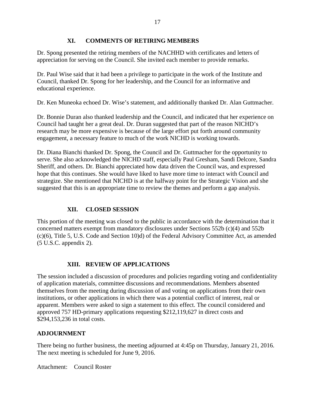## **XI. COMMENTS OF RETIRING MEMBERS**

Dr. Spong presented the retiring members of the NACHHD with certificates and letters of appreciation for serving on the Council. She invited each member to provide remarks.

Dr. Paul Wise said that it had been a privilege to participate in the work of the Institute and Council, thanked Dr. Spong for her leadership, and the Council for an informative and educational experience.

Dr. Ken Muneoka echoed Dr. Wise's statement, and additionally thanked Dr. Alan Guttmacher.

Dr. Bonnie Duran also thanked leadership and the Council, and indicated that her experience on Council had taught her a great deal. Dr. Duran suggested that part of the reason NICHD's research may be more expensive is because of the large effort put forth around community engagement, a necessary feature to much of the work NICHD is working towards.

Dr. Diana Bianchi thanked Dr. Spong, the Council and Dr. Guttmacher for the opportunity to serve. She also acknowledged the NICHD staff, especially Paul Gresham, Sandi Delcore, Sandra Sheriff, and others. Dr. Bianchi appreciated how data driven the Council was, and expressed hope that this continues. She would have liked to have more time to interact with Council and strategize. She mentioned that NICHD is at the halfway point for the Strategic Vision and she suggested that this is an appropriate time to review the themes and perform a gap analysis.

# **XII. CLOSED SESSION**

This portion of the meeting was closed to the public in accordance with the determination that it concerned matters exempt from mandatory disclosures under Sections 552b (c)(4) and 552b (c)(6), Title 5, U.S. Code and Section 10)d) of the Federal Advisory Committee Act, as amended (5 U.S.C. appendix 2).

## **XIII. REVIEW OF APPLICATIONS**

The session included a discussion of procedures and policies regarding voting and confidentiality of application materials, committee discussions and recommendations. Members absented themselves from the meeting during discussion of and voting on applications from their own institutions, or other applications in which there was a potential conflict of interest, real or apparent. Members were asked to sign a statement to this effect. The council considered and approved 757 HD-primary applications requesting \$212,119,627 in direct costs and \$294,153,236 in total costs.

## **ADJOURNMENT**

There being no further business, the meeting adjourned at 4:45p on Thursday, January 21, 2016. The next meeting is scheduled for June 9, 2016.

Attachment: Council Roster